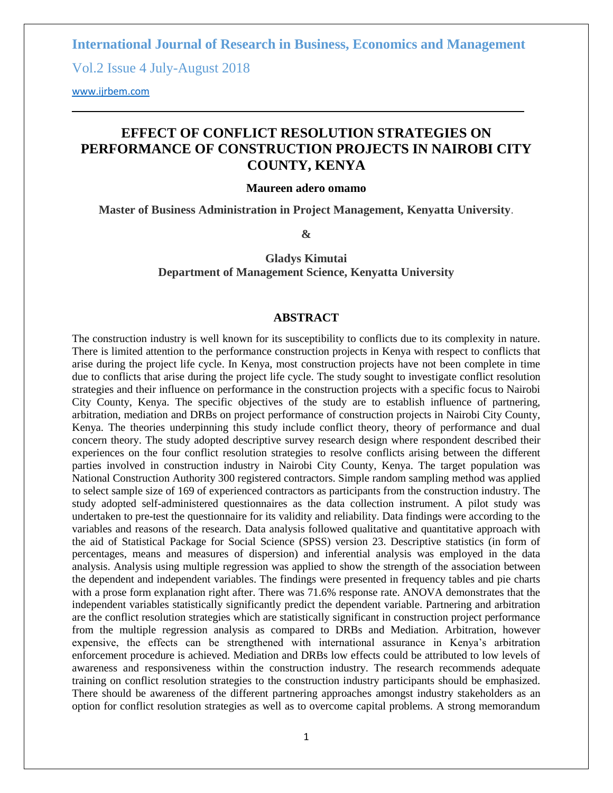**International Journal of Research in Business, Economics and Management** 

Vol.2 Issue 4 July-August 2018

<www.ijrbem.com>

# **EFFECT OF CONFLICT RESOLUTION STRATEGIES ON PERFORMANCE OF CONSTRUCTION PROJECTS IN NAIROBI CITY COUNTY, KENYA**

#### **Maureen adero omamo**

**Master of Business Administration in Project Management, Kenyatta University**.

**&**

**Gladys Kimutai Department of Management Science, Kenyatta University**

#### **ABSTRACT**

The construction industry is well known for its susceptibility to conflicts due to its complexity in nature. There is limited attention to the performance construction projects in Kenya with respect to conflicts that arise during the project life cycle. In Kenya, most construction projects have not been complete in time due to conflicts that arise during the project life cycle. The study sought to investigate conflict resolution strategies and their influence on performance in the construction projects with a specific focus to Nairobi City County, Kenya. The specific objectives of the study are to establish influence of partnering, arbitration, mediation and DRBs on project performance of construction projects in Nairobi City County, Kenya. The theories underpinning this study include conflict theory, theory of performance and dual concern theory. The study adopted descriptive survey research design where respondent described their experiences on the four conflict resolution strategies to resolve conflicts arising between the different parties involved in construction industry in Nairobi City County, Kenya. The target population was National Construction Authority 300 registered contractors. Simple random sampling method was applied to select sample size of 169 of experienced contractors as participants from the construction industry. The study adopted self-administered questionnaires as the data collection instrument. A pilot study was undertaken to pre-test the questionnaire for its validity and reliability. Data findings were according to the variables and reasons of the research. Data analysis followed qualitative and quantitative approach with the aid of Statistical Package for Social Science (SPSS) version 23. Descriptive statistics (in form of percentages, means and measures of dispersion) and inferential analysis was employed in the data analysis. Analysis using multiple regression was applied to show the strength of the association between the dependent and independent variables. The findings were presented in frequency tables and pie charts with a prose form explanation right after. There was 71.6% response rate. ANOVA demonstrates that the independent variables statistically significantly predict the dependent variable. Partnering and arbitration are the conflict resolution strategies which are statistically significant in construction project performance from the multiple regression analysis as compared to DRBs and Mediation. Arbitration, however expensive, the effects can be strengthened with international assurance in Kenya's arbitration enforcement procedure is achieved. Mediation and DRBs low effects could be attributed to low levels of awareness and responsiveness within the construction industry. The research recommends adequate training on conflict resolution strategies to the construction industry participants should be emphasized. There should be awareness of the different partnering approaches amongst industry stakeholders as an option for conflict resolution strategies as well as to overcome capital problems. A strong memorandum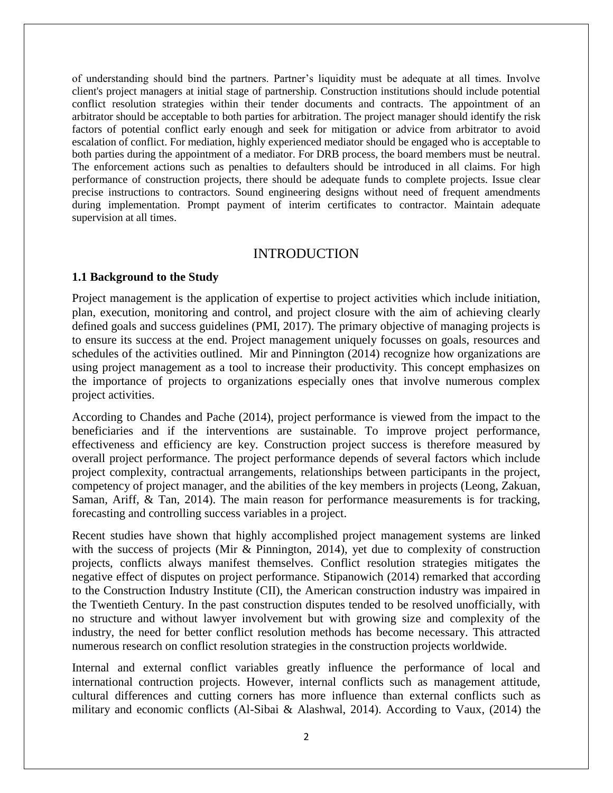of understanding should bind the partners. Partner's liquidity must be adequate at all times. Involve client's project managers at initial stage of partnership. Construction institutions should include potential conflict resolution strategies within their tender documents and contracts. The appointment of an arbitrator should be acceptable to both parties for arbitration. The project manager should identify the risk factors of potential conflict early enough and seek for mitigation or advice from arbitrator to avoid escalation of conflict. For mediation, highly experienced mediator should be engaged who is acceptable to both parties during the appointment of a mediator. For DRB process, the board members must be neutral. The enforcement actions such as penalties to defaulters should be introduced in all claims. For high performance of construction projects, there should be adequate funds to complete projects. Issue clear precise instructions to contractors. Sound engineering designs without need of frequent amendments during implementation. Prompt payment of interim certificates to contractor. Maintain adequate supervision at all times.

#### INTRODUCTION

#### **1.1 Background to the Study**

Project management is the application of expertise to project activities which include initiation, plan, execution, monitoring and control, and project closure with the aim of achieving clearly defined goals and success guidelines (PMI, 2017). The primary objective of managing projects is to ensure its success at the end. Project management uniquely focusses on goals, resources and schedules of the activities outlined. Mir and Pinnington (2014) recognize how organizations are using project management as a tool to increase their productivity. This concept emphasizes on the importance of projects to organizations especially ones that involve numerous complex project activities.

According to Chandes and Pache (2014), project performance is viewed from the impact to the beneficiaries and if the interventions are sustainable. To improve project performance, effectiveness and efficiency are key. Construction project success is therefore measured by overall project performance. The project performance depends of several factors which include project complexity, contractual arrangements, relationships between participants in the project, competency of project manager, and the abilities of the key members in projects (Leong, Zakuan, Saman, Ariff, & Tan, 2014). The main reason for performance measurements is for tracking, forecasting and controlling success variables in a project.

Recent studies have shown that highly accomplished project management systems are linked with the success of projects (Mir & Pinnington, 2014), yet due to complexity of construction projects, conflicts always manifest themselves. Conflict resolution strategies mitigates the negative effect of disputes on project performance. Stipanowich (2014) remarked that according to the Construction Industry Institute (CII), the American construction industry was impaired in the Twentieth Century. In the past construction disputes tended to be resolved unofficially, with no structure and without lawyer involvement but with growing size and complexity of the industry, the need for better conflict resolution methods has become necessary. This attracted numerous research on conflict resolution strategies in the construction projects worldwide.

Internal and external conflict variables greatly influence the performance of local and international contruction projects. However, internal conflicts such as management attitude, cultural differences and cutting corners has more influence than external conflicts such as military and economic conflicts (Al-Sibai & Alashwal, 2014). According to Vaux, (2014) the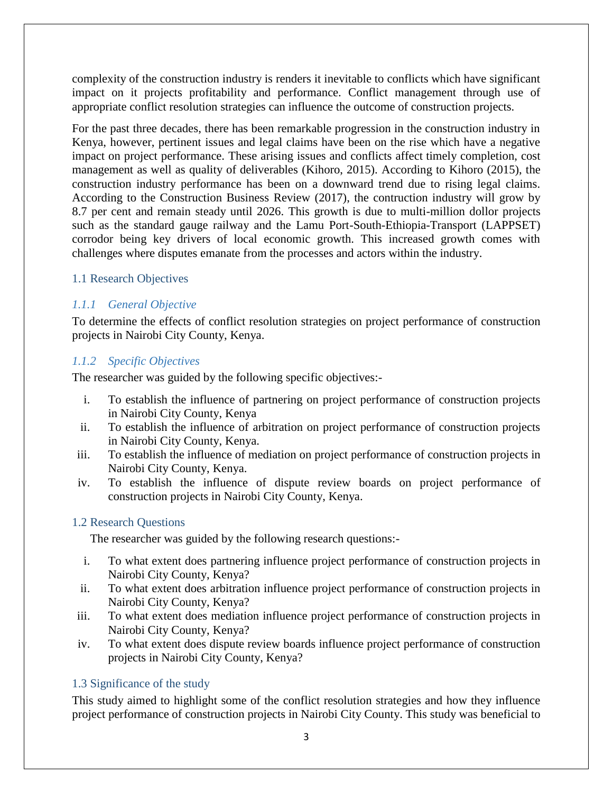complexity of the construction industry is renders it inevitable to conflicts which have significant impact on it projects profitability and performance. Conflict management through use of appropriate conflict resolution strategies can influence the outcome of construction projects.

For the past three decades, there has been remarkable progression in the construction industry in Kenya, however, pertinent issues and legal claims have been on the rise which have a negative impact on project performance. These arising issues and conflicts affect timely completion, cost management as well as quality of deliverables (Kihoro, 2015). According to Kihoro (2015), the construction industry performance has been on a downward trend due to rising legal claims. According to the Construction Business Review (2017), the contruction industry will grow by 8.7 per cent and remain steady until 2026. This growth is due to multi-million dollor projects such as the standard gauge railway and the Lamu Port-South-Ethiopia-Transport (LAPPSET) corrodor being key drivers of local economic growth. This increased growth comes with challenges where disputes emanate from the processes and actors within the industry.

## 1.1 Research Objectives

## *1.1.1 General Objective*

To determine the effects of conflict resolution strategies on project performance of construction projects in Nairobi City County, Kenya.

## *1.1.2 Specific Objectives*

The researcher was guided by the following specific objectives:-

- i. To establish the influence of partnering on project performance of construction projects in Nairobi City County, Kenya
- ii. To establish the influence of arbitration on project performance of construction projects in Nairobi City County, Kenya.
- iii. To establish the influence of mediation on project performance of construction projects in Nairobi City County, Kenya.
- iv. To establish the influence of dispute review boards on project performance of construction projects in Nairobi City County, Kenya.

## 1.2 Research Questions

The researcher was guided by the following research questions:-

- i. To what extent does partnering influence project performance of construction projects in Nairobi City County, Kenya?
- ii. To what extent does arbitration influence project performance of construction projects in Nairobi City County, Kenya?
- iii. To what extent does mediation influence project performance of construction projects in Nairobi City County, Kenya?
- iv. To what extent does dispute review boards influence project performance of construction projects in Nairobi City County, Kenya?

## 1.3 Significance of the study

This study aimed to highlight some of the conflict resolution strategies and how they influence project performance of construction projects in Nairobi City County. This study was beneficial to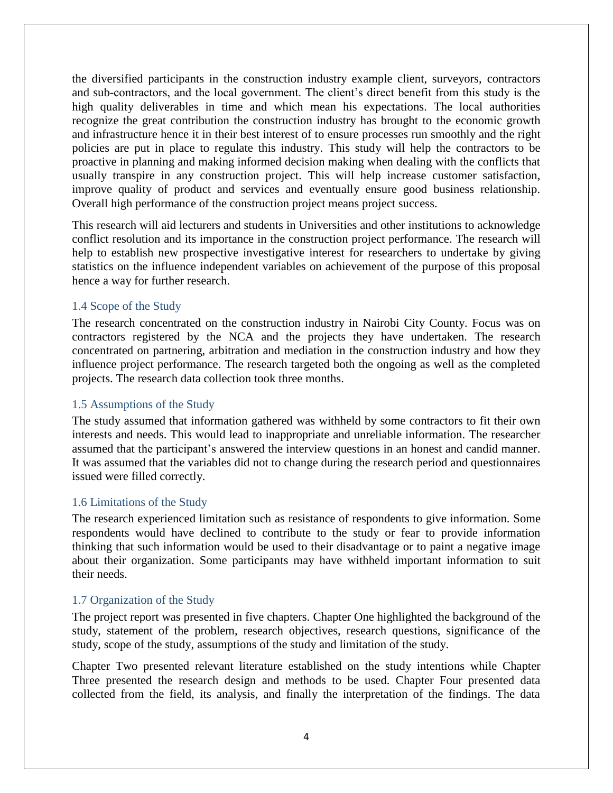the diversified participants in the construction industry example client, surveyors, contractors and sub-contractors, and the local government. The client's direct benefit from this study is the high quality deliverables in time and which mean his expectations. The local authorities recognize the great contribution the construction industry has brought to the economic growth and infrastructure hence it in their best interest of to ensure processes run smoothly and the right policies are put in place to regulate this industry. This study will help the contractors to be proactive in planning and making informed decision making when dealing with the conflicts that usually transpire in any construction project. This will help increase customer satisfaction, improve quality of product and services and eventually ensure good business relationship. Overall high performance of the construction project means project success.

This research will aid lecturers and students in Universities and other institutions to acknowledge conflict resolution and its importance in the construction project performance. The research will help to establish new prospective investigative interest for researchers to undertake by giving statistics on the influence independent variables on achievement of the purpose of this proposal hence a way for further research.

#### 1.4 Scope of the Study

The research concentrated on the construction industry in Nairobi City County. Focus was on contractors registered by the NCA and the projects they have undertaken. The research concentrated on partnering, arbitration and mediation in the construction industry and how they influence project performance. The research targeted both the ongoing as well as the completed projects. The research data collection took three months.

## 1.5 Assumptions of the Study

The study assumed that information gathered was withheld by some contractors to fit their own interests and needs. This would lead to inappropriate and unreliable information. The researcher assumed that the participant's answered the interview questions in an honest and candid manner. It was assumed that the variables did not to change during the research period and questionnaires issued were filled correctly.

#### 1.6 Limitations of the Study

The research experienced limitation such as resistance of respondents to give information. Some respondents would have declined to contribute to the study or fear to provide information thinking that such information would be used to their disadvantage or to paint a negative image about their organization. Some participants may have withheld important information to suit their needs.

## 1.7 Organization of the Study

The project report was presented in five chapters. Chapter One highlighted the background of the study, statement of the problem, research objectives, research questions, significance of the study, scope of the study, assumptions of the study and limitation of the study.

Chapter Two presented relevant literature established on the study intentions while Chapter Three presented the research design and methods to be used. Chapter Four presented data collected from the field, its analysis, and finally the interpretation of the findings. The data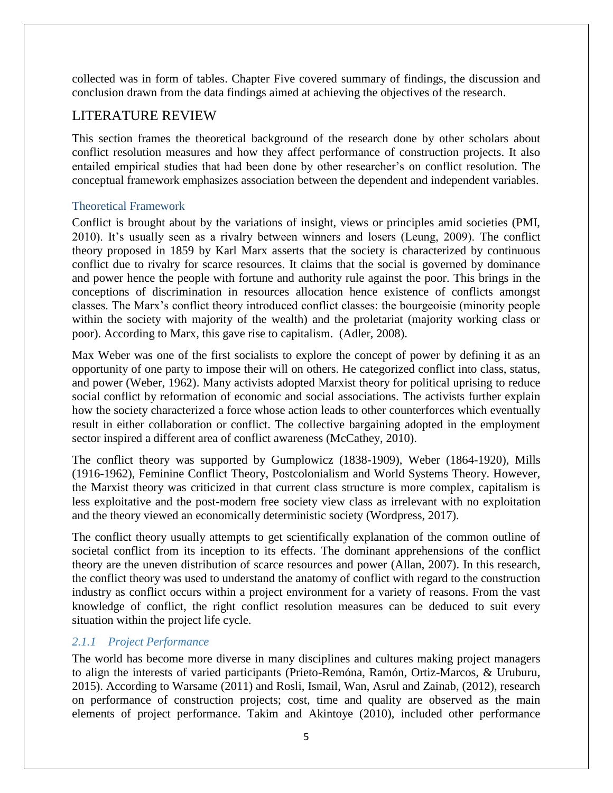collected was in form of tables. Chapter Five covered summary of findings, the discussion and conclusion drawn from the data findings aimed at achieving the objectives of the research.

## LITERATURE REVIEW

This section frames the theoretical background of the research done by other scholars about conflict resolution measures and how they affect performance of construction projects. It also entailed empirical studies that had been done by other researcher's on conflict resolution. The conceptual framework emphasizes association between the dependent and independent variables.

## Theoretical Framework

Conflict is brought about by the variations of insight, views or principles amid societies (PMI, 2010). It's usually seen as a rivalry between winners and losers (Leung, 2009). The conflict theory proposed in 1859 by Karl Marx asserts that the society is characterized by continuous conflict due to rivalry for scarce resources. It claims that the social is governed by dominance and power hence the people with fortune and authority rule against the poor. This brings in the conceptions of discrimination in resources allocation hence existence of conflicts amongst classes. The Marx's conflict theory introduced conflict classes: the bourgeoisie (minority people within the society with majority of the wealth) and the proletariat (majority working class or poor). According to Marx, this gave rise to capitalism. (Adler, 2008).

Max Weber was one of the first socialists to explore the concept of power by defining it as an opportunity of one party to impose their will on others. He categorized conflict into class, status, and power (Weber, 1962). Many activists adopted Marxist theory for political uprising to reduce social conflict by reformation of economic and social associations. The activists further explain how the society characterized a force whose action leads to other counterforces which eventually result in either collaboration or conflict. The collective bargaining adopted in the employment sector inspired a different area of conflict awareness (McCathey, 2010).

The conflict theory was supported by Gumplowicz (1838-1909), Weber (1864-1920), Mills (1916-1962), Feminine Conflict Theory, Postcolonialism and World Systems Theory. However, the Marxist theory was criticized in that current class structure is more complex, capitalism is less exploitative and the post-modern free society view class as irrelevant with no exploitation and the theory viewed an economically deterministic society (Wordpress, 2017).

The conflict theory usually attempts to get scientifically explanation of the common outline of societal conflict from its inception to its effects. The dominant apprehensions of the conflict theory are the uneven distribution of scarce resources and power (Allan, 2007). In this research, the conflict theory was used to understand the anatomy of conflict with regard to the construction industry as conflict occurs within a project environment for a variety of reasons. From the vast knowledge of conflict, the right conflict resolution measures can be deduced to suit every situation within the project life cycle.

## *2.1.1 Project Performance*

The world has become more diverse in many disciplines and cultures making project managers to align the interests of varied participants (Prieto-Remóna, Ramón, Ortiz-Marcos, & Uruburu, 2015). According to Warsame (2011) and Rosli, Ismail, Wan, Asrul and Zainab, (2012), research on performance of construction projects; cost, time and quality are observed as the main elements of project performance. Takim and Akintoye (2010), included other performance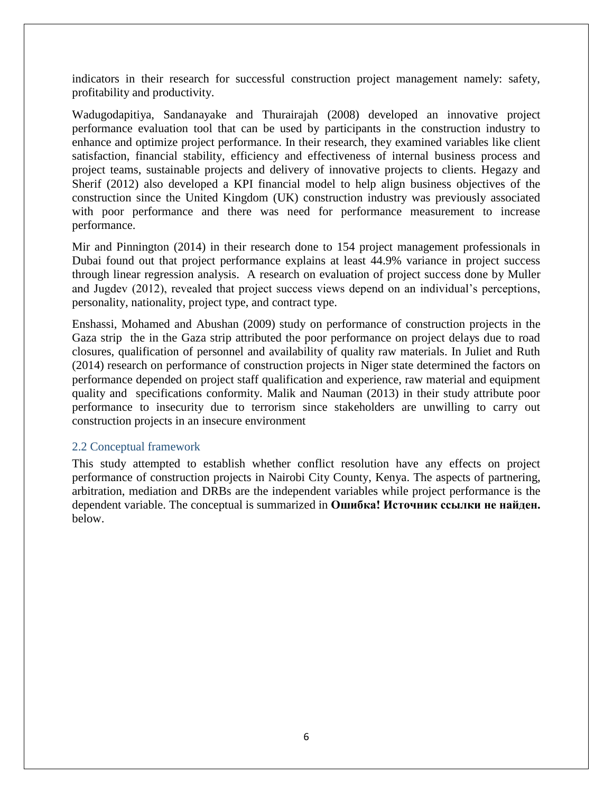indicators in their research for successful construction project management namely: safety, profitability and productivity.

Wadugodapitiya, Sandanayake and Thurairajah (2008) developed an innovative project performance evaluation tool that can be used by participants in the construction industry to enhance and optimize project performance. In their research, they examined variables like client satisfaction, financial stability, efficiency and effectiveness of internal business process and project teams, sustainable projects and delivery of innovative projects to clients. Hegazy and Sherif (2012) also developed a KPI financial model to help align business objectives of the construction since the United Kingdom (UK) construction industry was previously associated with poor performance and there was need for performance measurement to increase performance.

Mir and Pinnington (2014) in their research done to 154 project management professionals in Dubai found out that project performance explains at least 44.9% variance in project success through linear regression analysis. A research on evaluation of project success done by Muller and Jugdev (2012), revealed that project success views depend on an individual's perceptions, personality, nationality, project type, and contract type.

Enshassi, Mohamed and Abushan (2009) study on performance of construction projects in the Gaza strip the in the Gaza strip attributed the poor performance on project delays due to road closures, qualification of personnel and availability of quality raw materials. In Juliet and Ruth (2014) research on performance of construction projects in Niger state determined the factors on performance depended on project staff qualification and experience, raw material and equipment quality and specifications conformity. Malik and Nauman (2013) in their study attribute poor performance to insecurity due to terrorism since stakeholders are unwilling to carry out construction projects in an insecure environment

#### 2.2 Conceptual framework

This study attempted to establish whether conflict resolution have any effects on project performance of construction projects in Nairobi City County, Kenya. The aspects of partnering, arbitration, mediation and DRBs are the independent variables while project performance is the dependent variable. The conceptual is summarized in **Ошибка! Источник ссылки не найден.** below.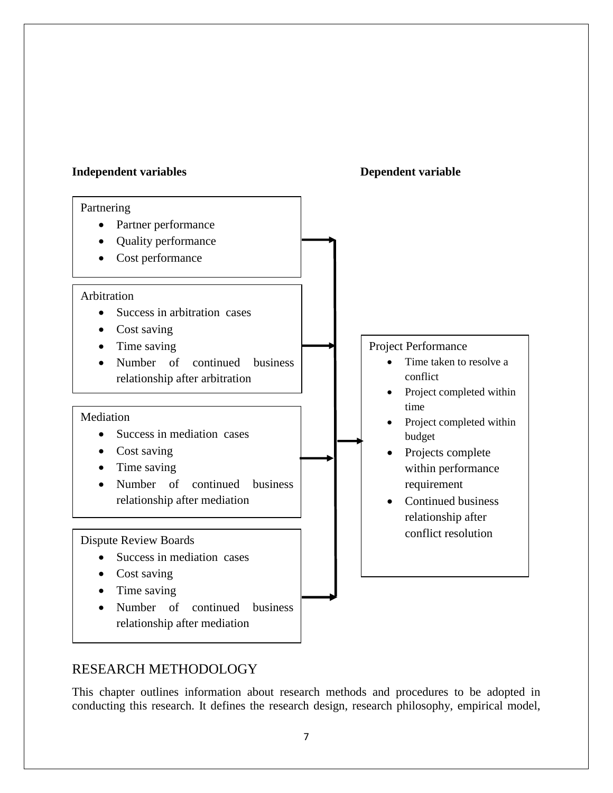#### **Independent variables Dependent variable**



# RESEARCH METHODOLOGY

This chapter outlines information about research methods and procedures to be adopted in conducting this research. It defines the research design, research philosophy, empirical model,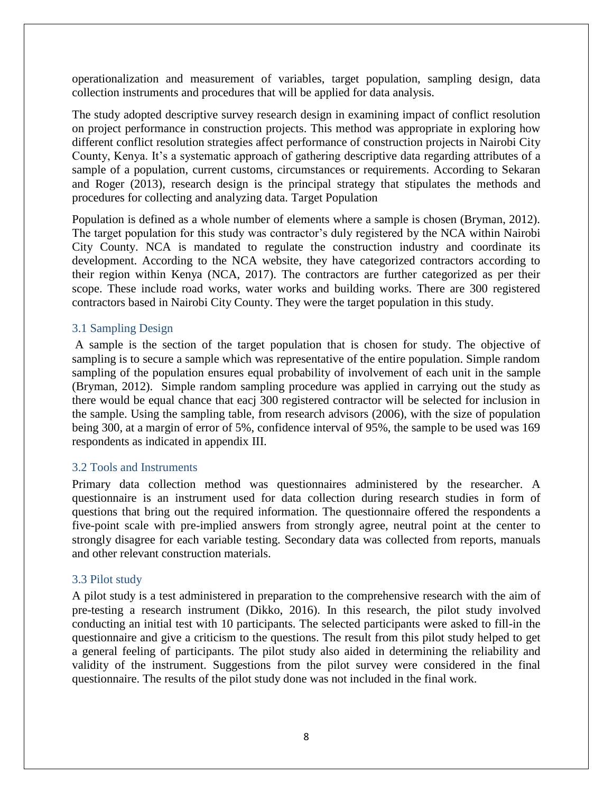operationalization and measurement of variables, target population, sampling design, data collection instruments and procedures that will be applied for data analysis.

The study adopted descriptive survey research design in examining impact of conflict resolution on project performance in construction projects. This method was appropriate in exploring how different conflict resolution strategies affect performance of construction projects in Nairobi City County, Kenya. It's a systematic approach of gathering descriptive data regarding attributes of a sample of a population, current customs, circumstances or requirements. According to Sekaran and Roger (2013), research design is the principal strategy that stipulates the methods and procedures for collecting and analyzing data. Target Population

Population is defined as a whole number of elements where a sample is chosen (Bryman, 2012). The target population for this study was contractor's duly registered by the NCA within Nairobi City County. NCA is mandated to regulate the construction industry and coordinate its development. According to the NCA website, they have categorized contractors according to their region within Kenya (NCA, 2017). The contractors are further categorized as per their scope. These include road works, water works and building works. There are 300 registered contractors based in Nairobi City County. They were the target population in this study.

#### 3.1 Sampling Design

A sample is the section of the target population that is chosen for study. The objective of sampling is to secure a sample which was representative of the entire population. Simple random sampling of the population ensures equal probability of involvement of each unit in the sample (Bryman, 2012). Simple random sampling procedure was applied in carrying out the study as there would be equal chance that eacj 300 registered contractor will be selected for inclusion in the sample. Using the sampling table, from research advisors (2006), with the size of population being 300, at a margin of error of 5%, confidence interval of 95%, the sample to be used was 169 respondents as indicated in appendix III.

#### 3.2 Tools and Instruments

Primary data collection method was questionnaires administered by the researcher. A questionnaire is an instrument used for data collection during research studies in form of questions that bring out the required information. The questionnaire offered the respondents a five-point scale with pre-implied answers from strongly agree, neutral point at the center to strongly disagree for each variable testing. Secondary data was collected from reports, manuals and other relevant construction materials.

#### 3.3 Pilot study

A pilot study is a test administered in preparation to the comprehensive research with the aim of pre-testing a research instrument (Dikko, 2016). In this research, the pilot study involved conducting an initial test with 10 participants. The selected participants were asked to fill-in the questionnaire and give a criticism to the questions. The result from this pilot study helped to get a general feeling of participants. The pilot study also aided in determining the reliability and validity of the instrument. Suggestions from the pilot survey were considered in the final questionnaire. The results of the pilot study done was not included in the final work.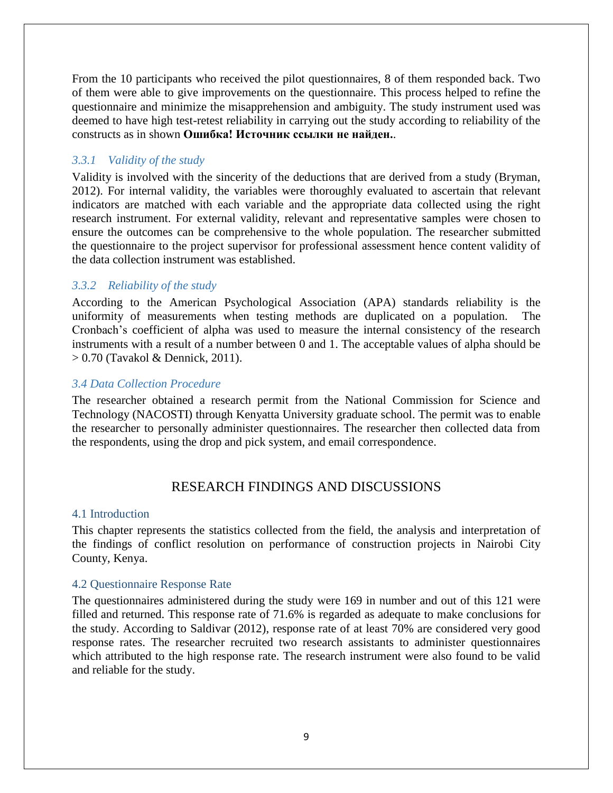From the 10 participants who received the pilot questionnaires, 8 of them responded back. Two of them were able to give improvements on the questionnaire. This process helped to refine the questionnaire and minimize the misapprehension and ambiguity. The study instrument used was deemed to have high test-retest reliability in carrying out the study according to reliability of the constructs as in shown **Ошибка! Источник ссылки не найден.**.

### *3.3.1 Validity of the study*

Validity is involved with the sincerity of the deductions that are derived from a study (Bryman, 2012). For internal validity, the variables were thoroughly evaluated to ascertain that relevant indicators are matched with each variable and the appropriate data collected using the right research instrument. For external validity, relevant and representative samples were chosen to ensure the outcomes can be comprehensive to the whole population. The researcher submitted the questionnaire to the project supervisor for professional assessment hence content validity of the data collection instrument was established.

## *3.3.2 Reliability of the study*

According to the American Psychological Association (APA) standards reliability is the uniformity of measurements when testing methods are duplicated on a population. The Cronbach's coefficient of alpha was used to measure the internal consistency of the research instruments with a result of a number between 0 and 1. The acceptable values of alpha should be > 0.70 (Tavakol & Dennick, 2011).

#### *3.4 Data Collection Procedure*

The researcher obtained a research permit from the National Commission for Science and Technology (NACOSTI) through Kenyatta University graduate school. The permit was to enable the researcher to personally administer questionnaires. The researcher then collected data from the respondents, using the drop and pick system, and email correspondence.

## RESEARCH FINDINGS AND DISCUSSIONS

#### 4.1 Introduction

This chapter represents the statistics collected from the field, the analysis and interpretation of the findings of conflict resolution on performance of construction projects in Nairobi City County, Kenya.

#### 4.2 Questionnaire Response Rate

The questionnaires administered during the study were 169 in number and out of this 121 were filled and returned. This response rate of 71.6% is regarded as adequate to make conclusions for the study. According to Saldivar (2012), response rate of at least 70% are considered very good response rates. The researcher recruited two research assistants to administer questionnaires which attributed to the high response rate. The research instrument were also found to be valid and reliable for the study.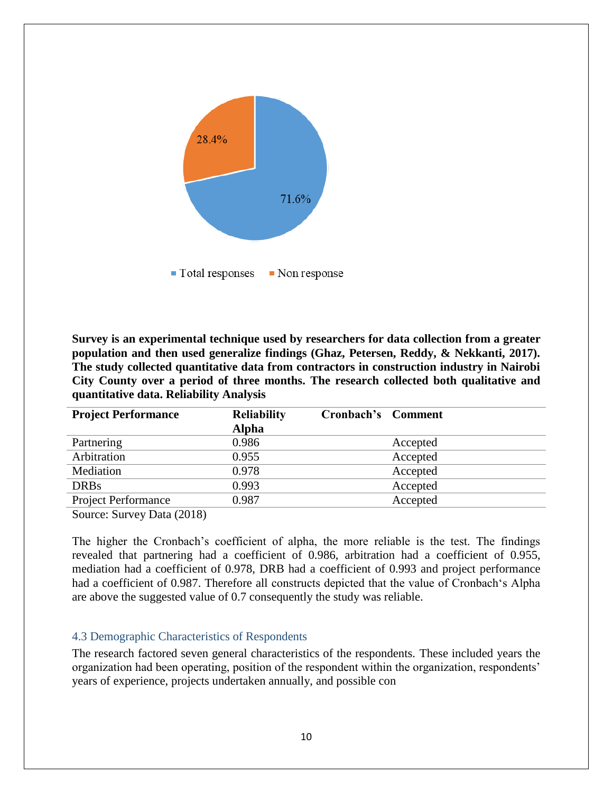

**Survey is an experimental technique used by researchers for data collection from a greater population and then used generalize findings (Ghaz, Petersen, Reddy, & Nekkanti, 2017). The study collected quantitative data from contractors in construction industry in Nairobi City County over a period of three months. The research collected both qualitative and quantitative data. Reliability Analysis**

| <b>Project Performance</b>                       | <b>Reliability</b> | Cronbach's Comment |          |
|--------------------------------------------------|--------------------|--------------------|----------|
|                                                  | <b>Alpha</b>       |                    |          |
| Partnering                                       | 0.986              |                    | Accepted |
| Arbitration                                      | 0.955              |                    | Accepted |
| Mediation                                        | 0.978              |                    | Accepted |
| <b>DRBs</b>                                      | 0.993              |                    | Accepted |
| <b>Project Performance</b>                       | 0.987              |                    | Accepted |
| $\sim$ $\sim$ $\sim$ $\sim$ $\sim$ $\sim$ $\sim$ |                    |                    |          |

Source: Survey Data (2018)

The higher the Cronbach's coefficient of alpha, the more reliable is the test. The findings revealed that partnering had a coefficient of 0.986, arbitration had a coefficient of 0.955, mediation had a coefficient of 0.978, DRB had a coefficient of 0.993 and project performance had a coefficient of 0.987. Therefore all constructs depicted that the value of Cronbach's Alpha are above the suggested value of 0.7 consequently the study was reliable.

#### 4.3 Demographic Characteristics of Respondents

The research factored seven general characteristics of the respondents. These included years the organization had been operating, position of the respondent within the organization, respondents' years of experience, projects undertaken annually, and possible con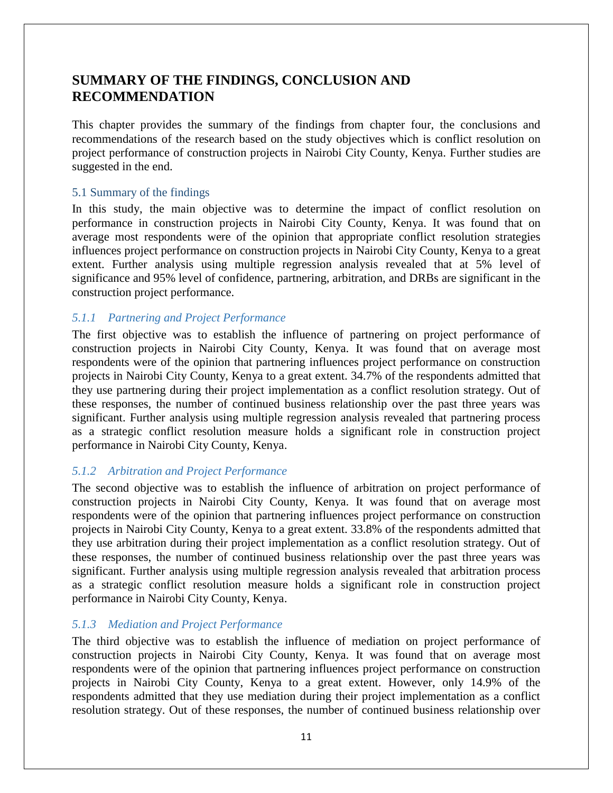# **SUMMARY OF THE FINDINGS, CONCLUSION AND RECOMMENDATION**

This chapter provides the summary of the findings from chapter four, the conclusions and recommendations of the research based on the study objectives which is conflict resolution on project performance of construction projects in Nairobi City County, Kenya. Further studies are suggested in the end.

## 5.1 Summary of the findings

In this study, the main objective was to determine the impact of conflict resolution on performance in construction projects in Nairobi City County, Kenya. It was found that on average most respondents were of the opinion that appropriate conflict resolution strategies influences project performance on construction projects in Nairobi City County, Kenya to a great extent. Further analysis using multiple regression analysis revealed that at 5% level of significance and 95% level of confidence, partnering, arbitration, and DRBs are significant in the construction project performance.

## *5.1.1 Partnering and Project Performance*

The first objective was to establish the influence of partnering on project performance of construction projects in Nairobi City County, Kenya. It was found that on average most respondents were of the opinion that partnering influences project performance on construction projects in Nairobi City County, Kenya to a great extent. 34.7% of the respondents admitted that they use partnering during their project implementation as a conflict resolution strategy. Out of these responses, the number of continued business relationship over the past three years was significant. Further analysis using multiple regression analysis revealed that partnering process as a strategic conflict resolution measure holds a significant role in construction project performance in Nairobi City County, Kenya.

## *5.1.2 Arbitration and Project Performance*

The second objective was to establish the influence of arbitration on project performance of construction projects in Nairobi City County, Kenya. It was found that on average most respondents were of the opinion that partnering influences project performance on construction projects in Nairobi City County, Kenya to a great extent. 33.8% of the respondents admitted that they use arbitration during their project implementation as a conflict resolution strategy. Out of these responses, the number of continued business relationship over the past three years was significant. Further analysis using multiple regression analysis revealed that arbitration process as a strategic conflict resolution measure holds a significant role in construction project performance in Nairobi City County, Kenya.

## *5.1.3 Mediation and Project Performance*

The third objective was to establish the influence of mediation on project performance of construction projects in Nairobi City County, Kenya. It was found that on average most respondents were of the opinion that partnering influences project performance on construction projects in Nairobi City County, Kenya to a great extent. However, only 14.9% of the respondents admitted that they use mediation during their project implementation as a conflict resolution strategy. Out of these responses, the number of continued business relationship over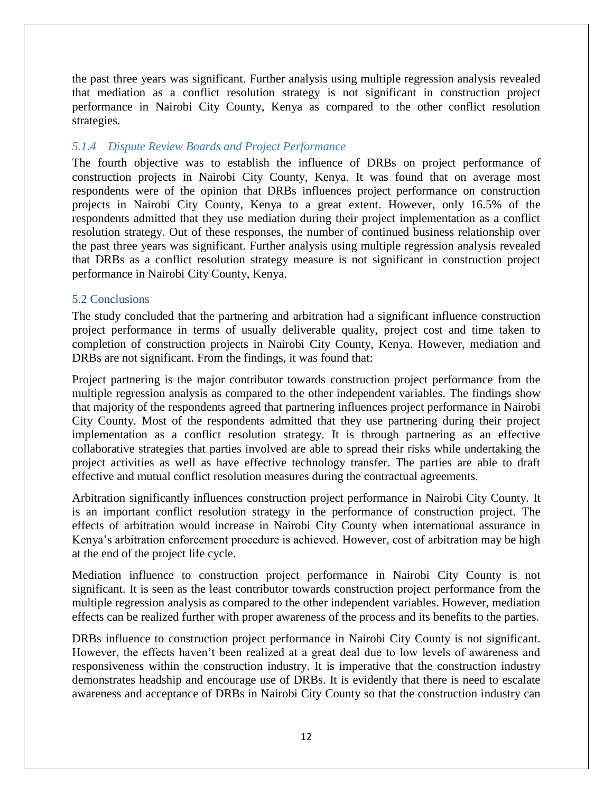the past three years was significant. Further analysis using multiple regression analysis revealed that mediation as a conflict resolution strategy is not significant in construction project performance in Nairobi City County, Kenya as compared to the other conflict resolution strategies.

#### *5.1.4 Dispute Review Boards and Project Performance*

The fourth objective was to establish the influence of DRBs on project performance of construction projects in Nairobi City County, Kenya. It was found that on average most respondents were of the opinion that DRBs influences project performance on construction projects in Nairobi City County, Kenya to a great extent. However, only 16.5% of the respondents admitted that they use mediation during their project implementation as a conflict resolution strategy. Out of these responses, the number of continued business relationship over the past three years was significant. Further analysis using multiple regression analysis revealed that DRBs as a conflict resolution strategy measure is not significant in construction project performance in Nairobi City County, Kenya.

#### 5.2 Conclusions

The study concluded that the partnering and arbitration had a significant influence construction project performance in terms of usually deliverable quality, project cost and time taken to completion of construction projects in Nairobi City County, Kenya. However, mediation and DRBs are not significant. From the findings, it was found that:

Project partnering is the major contributor towards construction project performance from the multiple regression analysis as compared to the other independent variables. The findings show that majority of the respondents agreed that partnering influences project performance in Nairobi City County. Most of the respondents admitted that they use partnering during their project implementation as a conflict resolution strategy. It is through partnering as an effective collaborative strategies that parties involved are able to spread their risks while undertaking the project activities as well as have effective technology transfer. The parties are able to draft effective and mutual conflict resolution measures during the contractual agreements.

Arbitration significantly influences construction project performance in Nairobi City County. It is an important conflict resolution strategy in the performance of construction project. The effects of arbitration would increase in Nairobi City County when international assurance in Kenya's arbitration enforcement procedure is achieved. However, cost of arbitration may be high at the end of the project life cycle.

Mediation influence to construction project performance in Nairobi City County is not significant. It is seen as the least contributor towards construction project performance from the multiple regression analysis as compared to the other independent variables. However, mediation effects can be realized further with proper awareness of the process and its benefits to the parties.

DRBs influence to construction project performance in Nairobi City County is not significant. However, the effects haven't been realized at a great deal due to low levels of awareness and responsiveness within the construction industry. It is imperative that the construction industry demonstrates headship and encourage use of DRBs. It is evidently that there is need to escalate awareness and acceptance of DRBs in Nairobi City County so that the construction industry can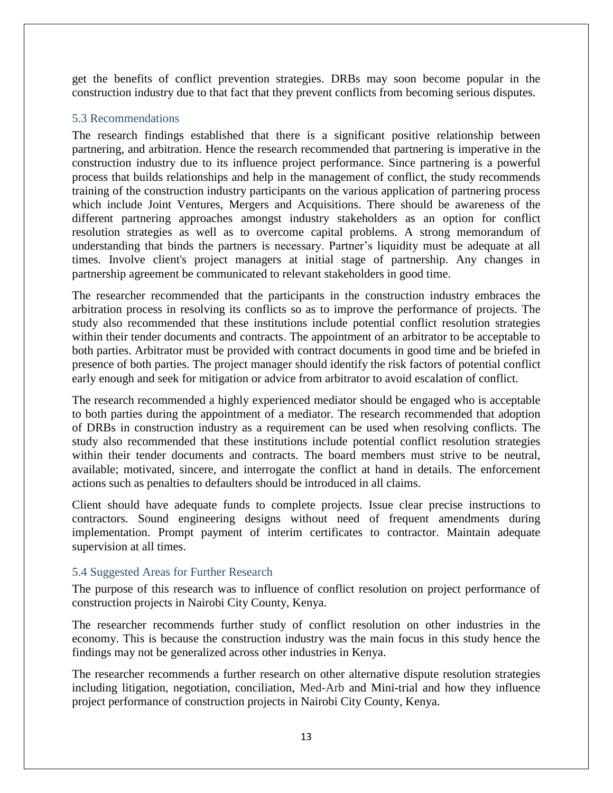get the benefits of conflict prevention strategies. DRBs may soon become popular in the construction industry due to that fact that they prevent conflicts from becoming serious disputes.

## 5.3 Recommendations

The research findings established that there is a significant positive relationship between partnering, and arbitration. Hence the research recommended that partnering is imperative in the construction industry due to its influence project performance. Since partnering is a powerful process that builds relationships and help in the management of conflict, the study recommends training of the construction industry participants on the various application of partnering process which include Joint Ventures, Mergers and Acquisitions. There should be awareness of the different partnering approaches amongst industry stakeholders as an option for conflict resolution strategies as well as to overcome capital problems. A strong memorandum of understanding that binds the partners is necessary. Partner's liquidity must be adequate at all times. Involve client's project managers at initial stage of partnership. Any changes in partnership agreement be communicated to relevant stakeholders in good time.

The researcher recommended that the participants in the construction industry embraces the arbitration process in resolving its conflicts so as to improve the performance of projects. The study also recommended that these institutions include potential conflict resolution strategies within their tender documents and contracts. The appointment of an arbitrator to be acceptable to both parties. Arbitrator must be provided with contract documents in good time and be briefed in presence of both parties. The project manager should identify the risk factors of potential conflict early enough and seek for mitigation or advice from arbitrator to avoid escalation of conflict.

The research recommended a highly experienced mediator should be engaged who is acceptable to both parties during the appointment of a mediator. The research recommended that adoption of DRBs in construction industry as a requirement can be used when resolving conflicts. The study also recommended that these institutions include potential conflict resolution strategies within their tender documents and contracts. The board members must strive to be neutral, available; motivated, sincere, and interrogate the conflict at hand in details. The enforcement actions such as penalties to defaulters should be introduced in all claims.

Client should have adequate funds to complete projects. Issue clear precise instructions to contractors. Sound engineering designs without need of frequent amendments during implementation. Prompt payment of interim certificates to contractor. Maintain adequate supervision at all times.

## 5.4 Suggested Areas for Further Research

The purpose of this research was to influence of conflict resolution on project performance of construction projects in Nairobi City County, Kenya.

The researcher recommends further study of conflict resolution on other industries in the economy. This is because the construction industry was the main focus in this study hence the findings may not be generalized across other industries in Kenya.

The researcher recommends a further research on other alternative dispute resolution strategies including litigation, negotiation, conciliation, Med-Arb and Mini-trial and how they influence project performance of construction projects in Nairobi City County, Kenya.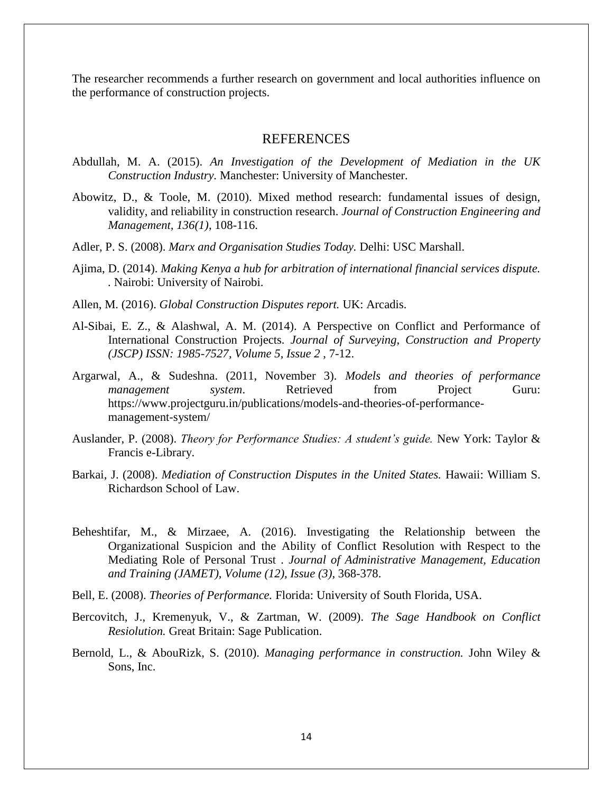The researcher recommends a further research on government and local authorities influence on the performance of construction projects.

#### **REFERENCES**

- Abdullah, M. A. (2015). *An Investigation of the Development of Mediation in the UK Construction Industry.* Manchester: University of Manchester.
- Abowitz, D., & Toole, M. (2010). Mixed method research: fundamental issues of design, validity, and reliability in construction research. *Journal of Construction Engineering and Management, 136(1)*, 108-116.
- Adler, P. S. (2008). *Marx and Organisation Studies Today.* Delhi: USC Marshall.
- Ajima, D. (2014). *Making Kenya a hub for arbitration of international financial services dispute. .* Nairobi: University of Nairobi.
- Allen, M. (2016). *Global Construction Disputes report.* UK: Arcadis.
- Al-Sibai, E. Z., & Alashwal, A. M. (2014). A Perspective on Conflict and Performance of International Construction Projects. *Journal of Surveying, Construction and Property (JSCP) ISSN: 1985-7527, Volume 5, Issue 2* , 7-12.
- Argarwal, A., & Sudeshna. (2011, November 3). *Models and theories of performance management system*. Retrieved from Project Guru: https://www.projectguru.in/publications/models-and-theories-of-performancemanagement-system/
- Auslander, P. (2008). *Theory for Performance Studies: A student's guide.* New York: Taylor & Francis e-Library.
- Barkai, J. (2008). *Mediation of Construction Disputes in the United States.* Hawaii: William S. Richardson School of Law.
- Beheshtifar, M., & Mirzaee, A. (2016). Investigating the Relationship between the Organizational Suspicion and the Ability of Conflict Resolution with Respect to the Mediating Role of Personal Trust . *Journal of Administrative Management, Education and Training (JAMET), Volume (12), Issue (3)*, 368-378.
- Bell, E. (2008). *Theories of Performance.* Florida: University of South Florida, USA.
- Bercovitch, J., Kremenyuk, V., & Zartman, W. (2009). *The Sage Handbook on Conflict Resiolution.* Great Britain: Sage Publication.
- Bernold, L., & AbouRizk, S. (2010). *Managing performance in construction.* John Wiley & Sons, Inc.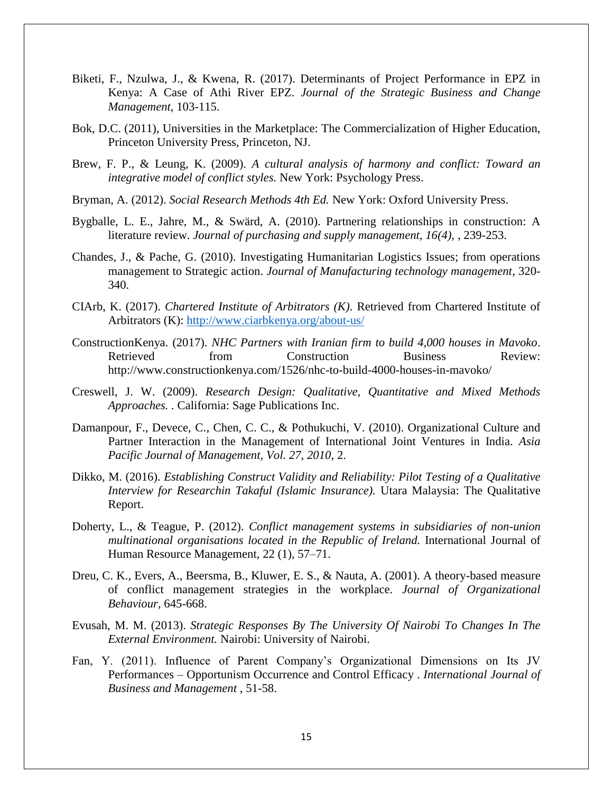- Biketi, F., Nzulwa, J., & Kwena, R. (2017). Determinants of Project Performance in EPZ in Kenya: A Case of Athi River EPZ. *Journal of the Strategic Business and Change Management*, 103-115.
- Bok, D.C. (2011), Universities in the Marketplace: The Commercialization of Higher Education, Princeton University Press, Princeton, NJ.
- Brew, F. P., & Leung, K. (2009). *A cultural analysis of harmony and conflict: Toward an integrative model of conflict styles.* New York: Psychology Press.
- Bryman, A. (2012). *Social Research Methods 4th Ed.* New York: Oxford University Press.
- Bygballe, L. E., Jahre, M., & Swärd, A. (2010). Partnering relationships in construction: A literature review. *Journal of purchasing and supply management, 16(4),* , 239-253.
- Chandes, J., & Pache, G. (2010). Investigating Humanitarian Logistics Issues; from operations management to Strategic action. *Journal of Manufacturing technology management*, 320- 340.
- CIArb, K. (2017). *Chartered Institute of Arbitrators (K)*. Retrieved from Chartered Institute of Arbitrators (K):<http://www.ciarbkenya.org/about-us/>
- ConstructionKenya. (2017). *NHC Partners with Iranian firm to build 4,000 houses in Mavoko*. Retrieved from Construction Business Review: http://www.constructionkenya.com/1526/nhc-to-build-4000-houses-in-mavoko/
- Creswell, J. W. (2009). *Research Design: Qualitative, Quantitative and Mixed Methods Approaches. .* California: Sage Publications Inc.
- Damanpour, F., Devece, C., Chen, C. C., & Pothukuchi, V. (2010). Organizational Culture and Partner Interaction in the Management of International Joint Ventures in India. *Asia Pacific Journal of Management, Vol. 27, 2010*, 2.
- Dikko, M. (2016). *Establishing Construct Validity and Reliability: Pilot Testing of a Qualitative Interview for Researchin Takaful (Islamic Insurance).* Utara Malaysia: The Qualitative Report.
- Doherty, L., & Teague, P. (2012). *Conflict management systems in subsidiaries of non-union multinational organisations located in the Republic of Ireland.* International Journal of Human Resource Management, 22 (1), 57–71.
- Dreu, C. K., Evers, A., Beersma, B., Kluwer, E. S., & Nauta, A. (2001). A theory-based measure of conflict management strategies in the workplace. *Journal of Organizational Behaviour*, 645-668.
- Evusah, M. M. (2013). *Strategic Responses By The University Of Nairobi To Changes In The External Environment.* Nairobi: University of Nairobi.
- Fan, Y. (2011). Influence of Parent Company's Organizational Dimensions on Its JV Performances – Opportunism Occurrence and Control Efficacy . *International Journal of Business and Management* , 51-58.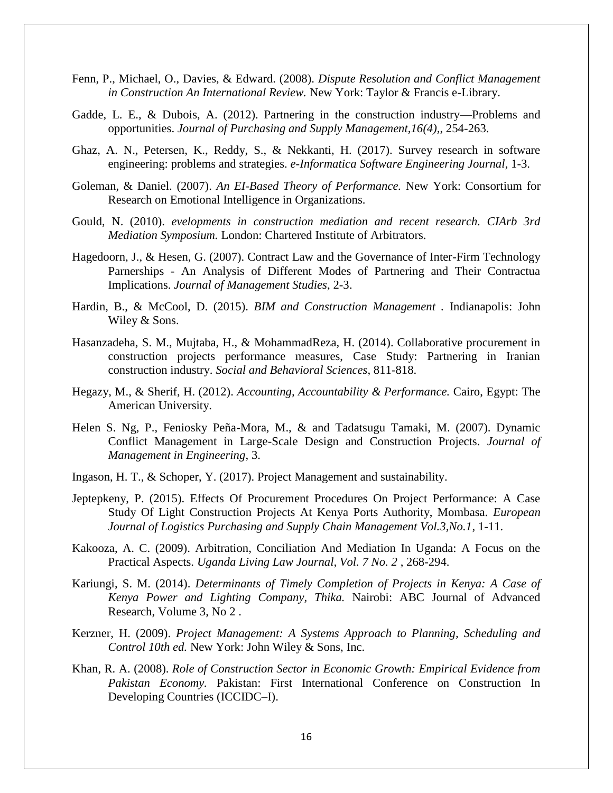- Fenn, P., Michael, O., Davies, & Edward. (2008). *Dispute Resolution and Conflict Management in Construction An International Review.* New York: Taylor & Francis e-Library.
- Gadde, L. E., & Dubois, A. (2012). Partnering in the construction industry—Problems and opportunities. *Journal of Purchasing and Supply Management,16(4),*, 254-263.
- Ghaz, A. N., Petersen, K., Reddy, S., & Nekkanti, H. (2017). Survey research in software engineering: problems and strategies. *e-Informatica Software Engineering Journal*, 1-3.
- Goleman, & Daniel. (2007). *An EI-Based Theory of Performance.* New York: Consortium for Research on Emotional Intelligence in Organizations.
- Gould, N. (2010). *evelopments in construction mediation and recent research. CIArb 3rd Mediation Symposium.* London: Chartered Institute of Arbitrators.
- Hagedoorn, J., & Hesen, G. (2007). Contract Law and the Governance of Inter-Firm Technology Parnerships - An Analysis of Different Modes of Partnering and Their Contractua Implications. *Journal of Management Studies*, 2-3.
- Hardin, B., & McCool, D. (2015). *BIM and Construction Management .* Indianapolis: John Wiley & Sons.
- Hasanzadeha, S. M., Mujtaba, H., & MohammadReza, H. (2014). Collaborative procurement in construction projects performance measures, Case Study: Partnering in Iranian construction industry. *Social and Behavioral Sciences*, 811-818.
- Hegazy, M., & Sherif, H. (2012). *Accounting, Accountability & Performance.* Cairo, Egypt: The American University.
- Helen S. Ng, P., Feniosky Peña-Mora, M., & and Tadatsugu Tamaki, M. (2007). Dynamic Conflict Management in Large-Scale Design and Construction Projects. *Journal of Management in Engineering*, 3.
- Ingason, H. T., & Schoper, Y. (2017). Project Management and sustainability.
- Jeptepkeny, P. (2015). Effects Of Procurement Procedures On Project Performance: A Case Study Of Light Construction Projects At Kenya Ports Authority, Mombasa. *European Journal of Logistics Purchasing and Supply Chain Management Vol.3,No.1*, 1-11.
- Kakooza, A. C. (2009). Arbitration, Conciliation And Mediation In Uganda: A Focus on the Practical Aspects. *Uganda Living Law Journal, Vol. 7 No. 2* , 268-294.
- Kariungi, S. M. (2014). *Determinants of Timely Completion of Projects in Kenya: A Case of Kenya Power and Lighting Company, Thika.* Nairobi: ABC Journal of Advanced Research, Volume 3, No 2 .
- Kerzner, H. (2009). *Project Management: A Systems Approach to Planning, Scheduling and Control 10th ed.* New York: John Wiley & Sons, Inc.
- Khan, R. A. (2008). *Role of Construction Sector in Economic Growth: Empirical Evidence from Pakistan Economy.* Pakistan: First International Conference on Construction In Developing Countries (ICCIDC–I).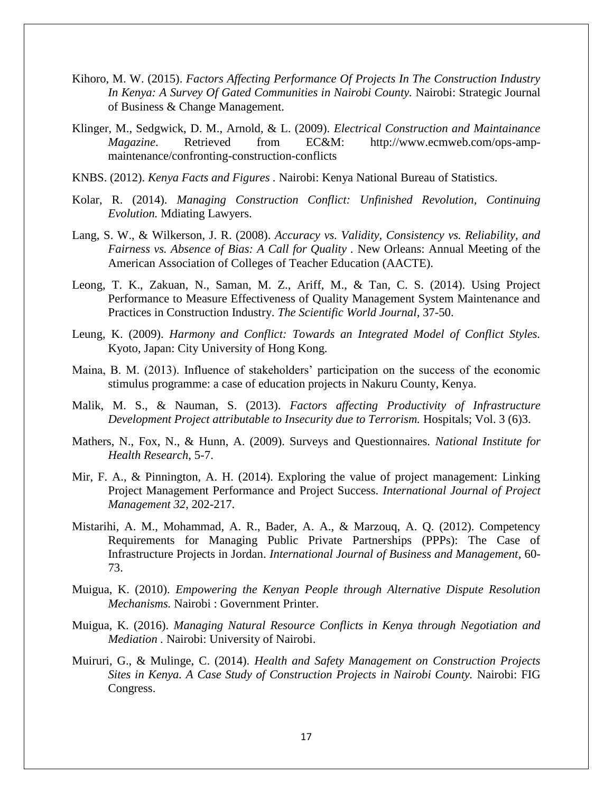- Kihoro, M. W. (2015). *Factors Affecting Performance Of Projects In The Construction Industry In Kenya: A Survey Of Gated Communities in Nairobi County.* Nairobi: Strategic Journal of Business & Change Management.
- Klinger, M., Sedgwick, D. M., Arnold, & L. (2009). *Electrical Construction and Maintainance Magazine*. Retrieved from EC&M: http://www.ecmweb.com/ops-ampmaintenance/confronting-construction-conflicts
- KNBS. (2012). *Kenya Facts and Figures .* Nairobi: Kenya National Bureau of Statistics.
- Kolar, R. (2014). *Managing Construction Conflict: Unfinished Revolution, Continuing Evolution.* Mdiating Lawyers.
- Lang, S. W., & Wilkerson, J. R. (2008). *Accuracy vs. Validity, Consistency vs. Reliability, and Fairness vs. Absence of Bias: A Call for Quality .* New Orleans: Annual Meeting of the American Association of Colleges of Teacher Education (AACTE).
- Leong, T. K., Zakuan, N., Saman, M. Z., Ariff, M., & Tan, C. S. (2014). Using Project Performance to Measure Effectiveness of Quality Management System Maintenance and Practices in Construction Industry. *The Scientific World Journal*, 37-50.
- Leung, K. (2009). *Harmony and Conflict: Towards an Integrated Model of Conflict Styles.* Kyoto, Japan: City University of Hong Kong.
- Maina, B. M. (2013). Influence of stakeholders' participation on the success of the economic stimulus programme: a case of education projects in Nakuru County, Kenya.
- Malik, M. S., & Nauman, S. (2013). *Factors affecting Productivity of Infrastructure Development Project attributable to Insecurity due to Terrorism.* Hospitals; Vol. 3 (6)3.
- Mathers, N., Fox, N., & Hunn, A. (2009). Surveys and Questionnaires. *National Institute for Health Research*, 5-7.
- Mir, F. A., & Pinnington, A. H. (2014). Exploring the value of project management: Linking Project Management Performance and Project Success. *International Journal of Project Management 32*, 202-217.
- Mistarihi, A. M., Mohammad, A. R., Bader, A. A., & Marzouq, A. Q. (2012). Competency Requirements for Managing Public Private Partnerships (PPPs): The Case of Infrastructure Projects in Jordan. *International Journal of Business and Management*, 60- 73.
- Muigua, K. (2010). *Empowering the Kenyan People through Alternative Dispute Resolution Mechanisms.* Nairobi : Government Printer.
- Muigua, K. (2016). *Managing Natural Resource Conflicts in Kenya through Negotiation and Mediation .* Nairobi: University of Nairobi.
- Muiruri, G., & Mulinge, C. (2014). *Health and Safety Management on Construction Projects Sites in Kenya. A Case Study of Construction Projects in Nairobi County.* Nairobi: FIG Congress.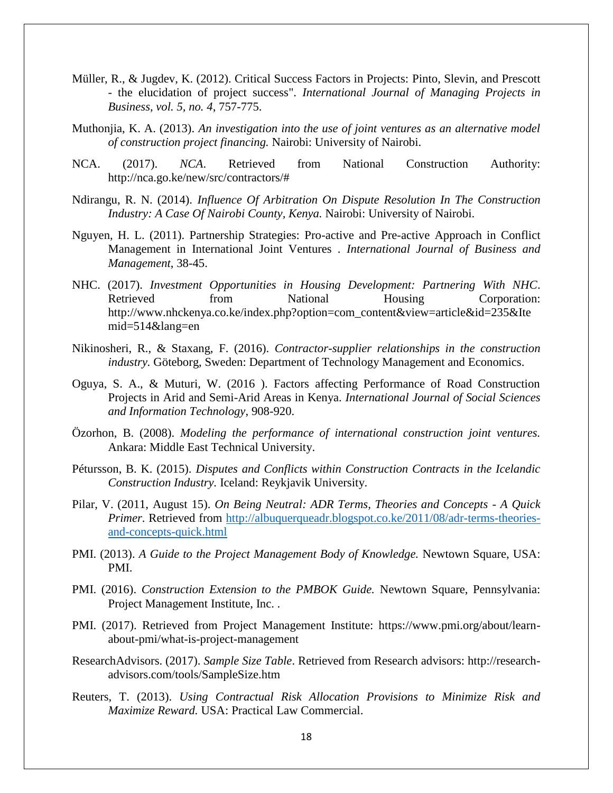- Müller, R., & Jugdev, K. (2012). Critical Success Factors in Projects: Pinto, Slevin, and Prescott - the elucidation of project success". *International Journal of Managing Projects in Business, vol. 5, no. 4*, 757-775.
- Muthonjia, K. A. (2013). *An investigation into the use of joint ventures as an alternative model of construction project financing.* Nairobi: University of Nairobi.
- NCA. (2017). *NCA*. Retrieved from National Construction Authority: http://nca.go.ke/new/src/contractors/#
- Ndirangu, R. N. (2014). *Influence Of Arbitration On Dispute Resolution In The Construction Industry: A Case Of Nairobi County, Kenya.* Nairobi: University of Nairobi.
- Nguyen, H. L. (2011). Partnership Strategies: Pro-active and Pre-active Approach in Conflict Management in International Joint Ventures . *International Journal of Business and Management*, 38-45.
- NHC. (2017). *Investment Opportunities in Housing Development: Partnering With NHC*. Retrieved from National Housing Corporation: http://www.nhckenya.co.ke/index.php?option=com\_content&view=article&id=235&Ite mid=514&lang=en
- Nikinosheri, R., & Staxang, F. (2016). *Contractor-supplier relationships in the construction industry.* Göteborg, Sweden: Department of Technology Management and Economics.
- Oguya, S. A., & Muturi, W. (2016 ). Factors affecting Performance of Road Construction Projects in Arid and Semi-Arid Areas in Kenya. *International Journal of Social Sciences and Information Technology*, 908-920.
- Özorhon, B. (2008). *Modeling the performance of international construction joint ventures.* Ankara: Middle East Technical University.
- Pétursson, B. K. (2015). *Disputes and Conflicts within Construction Contracts in the Icelandic Construction Industry.* Iceland: Reykjavik University.
- Pilar, V. (2011, August 15). *On Being Neutral: ADR Terms, Theories and Concepts - A Quick Primer*. Retrieved from [http://albuquerqueadr.blogspot.co.ke/2011/08/adr-terms-theories](http://albuquerqueadr.blogspot.co.ke/2011/08/adr-terms-theories-and-concepts-quick.html)[and-concepts-quick.html](http://albuquerqueadr.blogspot.co.ke/2011/08/adr-terms-theories-and-concepts-quick.html)
- PMI. (2013). *A Guide to the Project Management Body of Knowledge.* Newtown Square, USA: PMI.
- PMI. (2016). *Construction Extension to the PMBOK Guide.* Newtown Square, Pennsylvania: Project Management Institute, Inc. .
- PMI. (2017). Retrieved from Project Management Institute: https://www.pmi.org/about/learnabout-pmi/what-is-project-management
- ResearchAdvisors. (2017). *Sample Size Table*. Retrieved from Research advisors: http://researchadvisors.com/tools/SampleSize.htm
- Reuters, T. (2013). *Using Contractual Risk Allocation Provisions to Minimize Risk and Maximize Reward.* USA: Practical Law Commercial.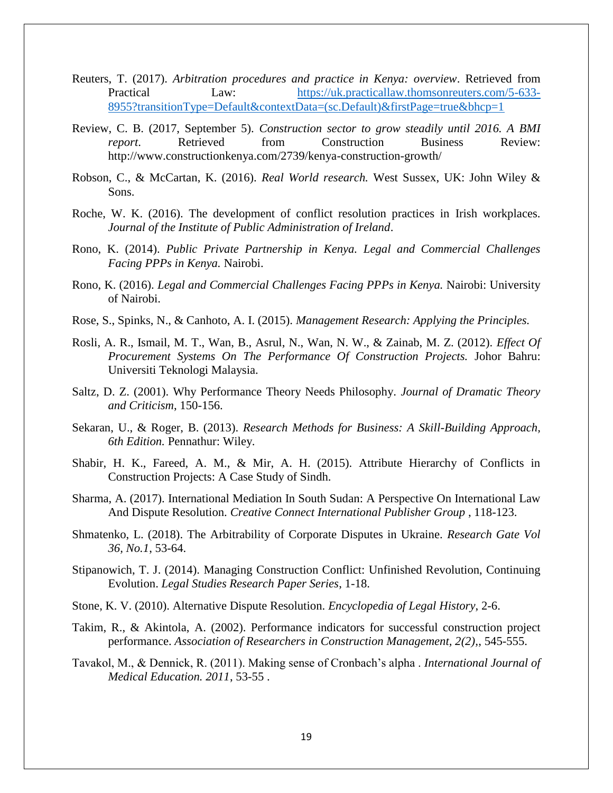- Reuters, T. (2017). *Arbitration procedures and practice in Kenya: overview*. Retrieved from Practical Law: [https://uk.practicallaw.thomsonreuters.com/5-633-](https://uk.practicallaw.thomsonreuters.com/5-633-8955?transitionType=Default&contextData=(sc.Default)&firstPage=true&bhcp=1) [8955?transitionType=Default&contextData=\(sc.Default\)&firstPage=true&bhcp=1](https://uk.practicallaw.thomsonreuters.com/5-633-8955?transitionType=Default&contextData=(sc.Default)&firstPage=true&bhcp=1)
- Review, C. B. (2017, September 5). *Construction sector to grow steadily until 2016. A BMI report*. Retrieved from Construction Business Review: http://www.constructionkenya.com/2739/kenya-construction-growth/
- Robson, C., & McCartan, K. (2016). *Real World research.* West Sussex, UK: John Wiley & Sons.
- Roche, W. K. (2016). The development of conflict resolution practices in Irish workplaces. *Journal of the Institute of Public Administration of Ireland*.
- Rono, K. (2014). *Public Private Partnership in Kenya. Legal and Commercial Challenges Facing PPPs in Kenya.* Nairobi.
- Rono, K. (2016). *Legal and Commercial Challenges Facing PPPs in Kenya.* Nairobi: University of Nairobi.
- Rose, S., Spinks, N., & Canhoto, A. I. (2015). *Management Research: Applying the Principles.*
- Rosli, A. R., Ismail, M. T., Wan, B., Asrul, N., Wan, N. W., & Zainab, M. Z. (2012). *Effect Of Procurement Systems On The Performance Of Construction Projects.* Johor Bahru: Universiti Teknologi Malaysia.
- Saltz, D. Z. (2001). Why Performance Theory Needs Philosophy. *Journal of Dramatic Theory and Criticism*, 150-156.
- Sekaran, U., & Roger, B. (2013). *Research Methods for Business: A Skill-Building Approach, 6th Edition.* Pennathur: Wiley.
- Shabir, H. K., Fareed, A. M., & Mir, A. H. (2015). Attribute Hierarchy of Conflicts in Construction Projects: A Case Study of Sindh.
- Sharma, A. (2017). International Mediation In South Sudan: A Perspective On International Law And Dispute Resolution. *Creative Connect International Publisher Group* , 118-123.
- Shmatenko, L. (2018). The Arbitrability of Corporate Disputes in Ukraine. *Research Gate Vol 36, No.1*, 53-64.
- Stipanowich, T. J. (2014). Managing Construction Conflict: Unfinished Revolution, Continuing Evolution. *Legal Studies Research Paper Series*, 1-18.
- Stone, K. V. (2010). Alternative Dispute Resolution. *Encyclopedia of Legal History*, 2-6.
- Takim, R., & Akintola, A. (2002). Performance indicators for successful construction project performance. *Association of Researchers in Construction Management, 2(2),*, 545-555.
- Tavakol, M., & Dennick, R. (2011). Making sense of Cronbach's alpha . *International Journal of Medical Education. 2011*, 53-55 .